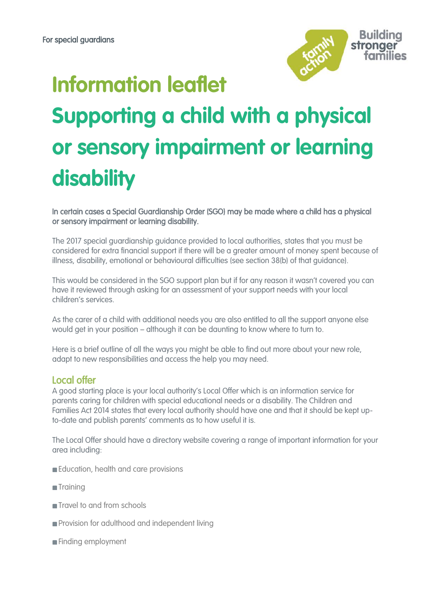**Information leaflet**



# **Supporting a child with a physical or sensory impairment or learning disability**

In certain cases a Special Guardianship Order (SGO) may be made where a child has a physical or sensory impairment or learning disability.

The 2017 special guardianship guidance provided to local authorities, states that you must be considered for extra financial support if there will be a greater amount of money spent because of illness, disability, emotional or behavioural difficulties (see section 38(b) of that guidance).

This would be considered in the SGO support plan but if for any reason it wasn't covered you can have it reviewed through asking for an assessment of your support needs with your local children's services.

As the carer of a child with additional needs you are also entitled to all the support anyone else would get in your position – although it can be daunting to know where to turn to.

Here is a brief outline of all the ways you might be able to find out more about your new role, adapt to new responsibilities and access the help you may need.

## Local offer

A good starting place is your local authority's Local Offer which is an information service for parents caring for children with special educational needs or a disability. The Children and Families Act 2014 states that every local authority should have one and that it should be kept upto-date and publish parents' comments as to how useful it is.

The Local Offer should have a directory website covering a range of important information for your area including:

- Education, health and care provisions
- **Training**
- **Travel to and from schools**
- **Provision for adulthood and independent living**
- **Finding employment**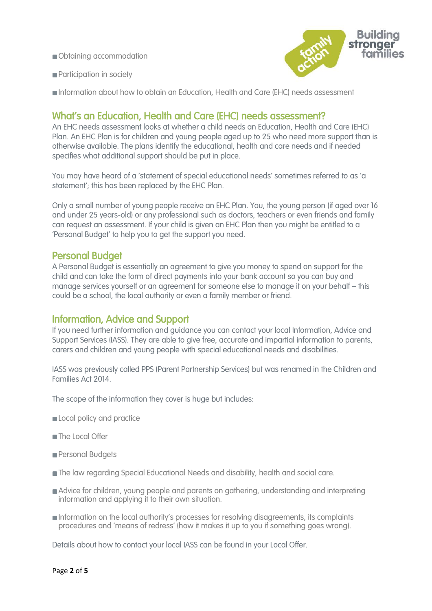Obtaining accommodation



- **Participation in society**
- Information about how to obtain an Education, Health and Care (EHC) needs assessment

## What's an Education, Health and Care (EHC) needs assessment?

An EHC needs assessment looks at whether a child needs an Education, Health and Care (EHC) Plan. An EHC Plan is for children and young people aged up to 25 who need more support than is otherwise available. The plans identify the educational, health and care needs and if needed specifies what additional support should be put in place.

You may have heard of a 'statement of special educational needs' sometimes referred to as 'a statement'; this has been replaced by the EHC Plan.

Only a small number of young people receive an EHC Plan. You, the young person (if aged over 16 and under 25 years-old) or any professional such as doctors, teachers or even friends and family can request an assessment. If your child is given an EHC Plan then you might be entitled to a 'Personal Budget' to help you to get the support you need.

#### Personal Budget

A Personal Budget is essentially an agreement to give you money to spend on support for the child and can take the form of direct payments into your bank account so you can buy and manage services yourself or an agreement for someone else to manage it on your behalf – this could be a school, the local authority or even a family member or friend.

### Information, Advice and Support

If you need further information and guidance you can contact your local Information, Advice and Support Services (IASS). They are able to give free, accurate and impartial information to parents, carers and children and young people with special educational needs and disabilities.

IASS was previously called PPS (Parent Partnership Services) but was renamed in the Children and Families Act 2014.

The scope of the information they cover is huge but includes:

- **Local policy and practice**
- The Local Offer
- Personal Budgets
- The law regarding Special Educational Needs and disability, health and social care.
- **Advice for children, young people and parents on gathering, understanding and interpreting** information and applying it to their own situation.
- Information on the local authority's processes for resolving disagreements, its complaints procedures and 'means of redress' (how it makes it up to you if something goes wrong).

Details about how to contact your local IASS can be found in your Local Offer.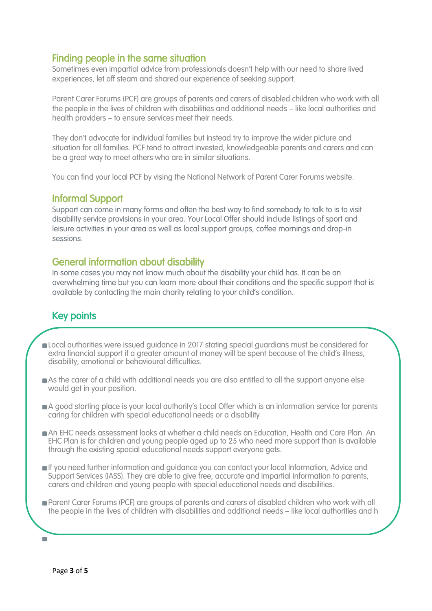## Finding people in the same situation

Sometimes even impartial advice from professionals doesn't help with our need to share lived experiences, let off steam and shared our experience of seeking support.

Parent Carer Forums (PCF) are groups of parents and carers of disabled children who work with all the people in the lives of children with disabilities and additional needs – like local authorities and health providers – to ensure services meet their needs.

They don't advocate for individual families but instead try to improve the wider picture and situation for all families. PCF tend to attract invested, knowledgeable parents and carers and can be a great way to meet others who are in similar situations.

You can find your local PCF by vising the National Network of Parent Carer Forums website.

## Informal Support

Support can come in many forms and often the best way to find somebody to talk to is to visit disability service provisions in your area. Your Local Offer should include listings of sport and leisure activities in your area as well as local support groups, coffee mornings and drop-in sessions.

## General information about disability

ealth providers – to ensure services meet their needs

In some cases you may not know much about the disability your child has. It can be an overwhelming time but you can learn more about their conditions and the specific support that is available by contacting the main charity relating to your child's condition.

# Key points

- **Deal authorities were issued guidance in 2017 stating special guardians must be considered for** extra financial support if a greater amount of money will be spent because of the child's illness, disability, emotional or behavioural difficulties.
- As the carer of a child with additional needs you are also entitled to all the support anyone else would get in your position.
- A good starting place is your local authority's Local Offer which is an information service for parents caring for children with special educational needs or a disability
- An EHC needs assessment looks at whether a child needs an Education, Health and Care Plan. An EHC Plan is for children and young people aged up to 25 who need more support than is available through the existing special educational needs support everyone gets.
- If you need further information and guidance you can contact your local Information, Advice and Support Services (IASS). They are able to give free, accurate and impartial information to parents, carers and children and young people with special educational needs and disabilities.
- **Parent Carer Forums (PCF) are groups of parents and carers of disabled children who work with all** the people in the lives of children with disabilities and additional needs – like local authorities and h

 $\overline{\phantom{a}}$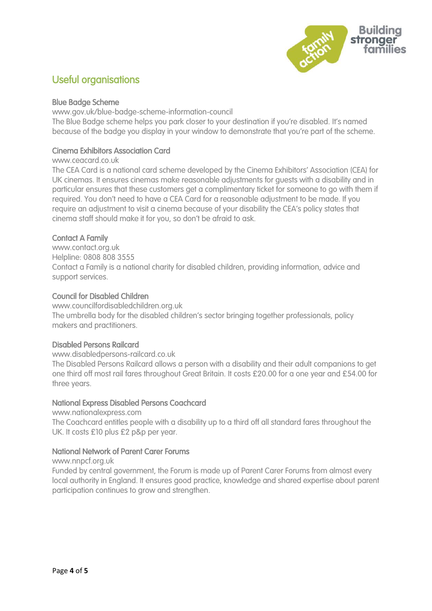

## Useful organisations

#### Blue Badge Scheme

www.gov.uk/blue-badge-scheme-information-council The Blue Badge scheme helps you park closer to your destination if you're disabled. It's named because of the badge you display in your window to demonstrate that you're part of the scheme.

#### Cinema Exhibitors Association Card

#### www.ceacard.co.uk

The CEA Card is a national card scheme developed by the Cinema Exhibitors' Association (CEA) for UK cinemas. It ensures cinemas make reasonable adjustments for guests with a disability and in particular ensures that these customers get a complimentary ticket for someone to go with them if required. You don't need to have a CEA Card for a reasonable adjustment to be made. If you require an adjustment to visit a cinema because of your disability the CEA's policy states that cinema staff should make it for you, so don't be afraid to ask.

#### Contact A Family

www.contact.org.uk Helpline: 0808 808 3555 Contact a Family is a national charity for disabled children, providing information, advice and support services.

#### Council for Disabled Children

www.councilfordisabledchildren.org.uk The umbrella body for the disabled children's sector bringing together professionals, policy makers and practitioners.

#### Disabled Persons Railcard

www.disabledpersons-railcard.co.uk

The Disabled Persons Railcard allows a person with a disability and their adult companions to get one third off most rail fares throughout Great Britain. It costs £20.00 for a one year and £54.00 for three years.

#### National Express Disabled Persons Coachcard

www.nationalexpress.com

The Coachcard entitles people with a disability up to a third off all standard fares throughout the UK. It costs £10 plus £2 p&p per year.

#### National Network of Parent Carer Forums

www.nnpcf.org.uk

Funded by central government, the Forum is made up of Parent Carer Forums from almost every local authority in England. It ensures good practice, knowledge and shared expertise about parent participation continues to grow and strengthen.